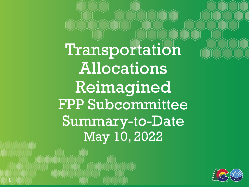Transportation Allocations Reimagined FPP Subcommittee Summary-to-Date May 10, 2022

1

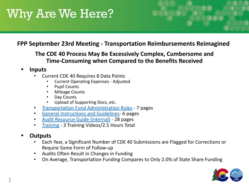#### **FPP September 23rd Meeting - Transportation Reimbursements Reimagined**

**The CDE 40 Process May Be Excessively Complex, Cumbersome and Time-Consuming when Compared to the Benefits Received**

- **• Inputs**
	- Current CDE 40 Requires 8 Data Points
		- Current Operating Expenses Adjusted
		- Pupil Counts
		- Mileage Counts
		- Day Counts
		- Upload of Supporting Docs, etc.
	- [Transportation Fund Administration Rules](https://www.cde.state.co.us/cdefinance/sftransp)  7 pages
	- [General Instructions and Guidelines-](https://www.cde.state.co.us/cdefinance/sftransp) 6 pages
	- [Audit Resource Guide \(internal\)](https://www.cde.state.co.us/cdefinance/sftransp) 28 pages
	- [Training](https://www.cde.state.co.us/cdefinance/sftransp) 3 Training Videos/2.5 Hours Total

#### **• Outputs**

- Each Year, a Significant Number of CDE 40 Submissions are Flagged for Corrections or Require Some Form of Follow-up
- Audits Often Result in Changes in Funding
- On Average, Transportation Funding Compares to Only 2.0% of State Share Funding

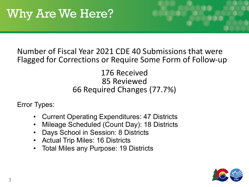#### Number of Fiscal Year 2021 CDE 40 Submissions that were Flagged for Corrections or Require Some Form of Follow-up

#### 176 Received 85 Reviewed 66 Required Changes (77.7%)

Error Types:

- Current Operating Expenditures: 47 Districts
- Mileage Scheduled (Count Day): 18 Districts
- Days School in Session: 8 Districts
- Actual Trip Miles: 16 Districts
- Total Miles any Purpose: 19 Districts

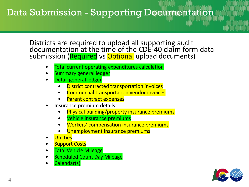## Data Submission - Supporting Documentation

Districts are required to upload all supporting audit documentation at the time of the CDE-40 claim form data submission (Required vs Optional upload documents)

- Total current operating expenditures calculation
- Summary general ledger
- Detail general ledger
	- District contracted transportation invoices
	- Commercial transportation vendor invoices
	- Parent contract expenses
- Insurance premium details
	- Physical building/property insurance premiums
	- Vehicle insurance premiums
	- Workers' compensation insurance premiums
	- Unemployment insurance premiums
- **Utilities**
- **Support Costs**
- **Total Vehicle Mileage**
- **Scheduled Count Day Mileage**
- Calendar(s)

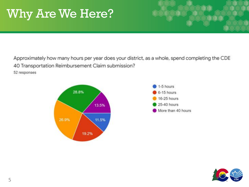Approximately how many hours per year does your district, as a whole, spend completing the CDE 40 Transportation Reimbursement Claim submission?

52 responses





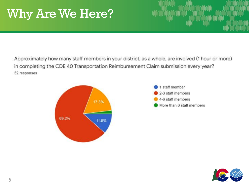Approximately how many staff members in your district, as a whole, are involved (1 hour or more) in completing the CDE 40 Transportation Reimbursement Claim submission every year? 52 responses





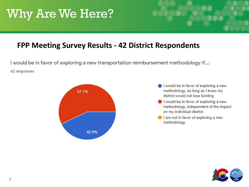#### **FPP Meeting Survey Results - 42 District Respondents**

I would be in favor of exploring a new transportation reimbursement methodology if...: 42 responses



- I would be in favor of exploring a new methodology, as long as I knew my district would not lose funding.
- I would be in favor of exploring a new methodology, independent of the impact on my individual district.
- I am not in favor of exploring a new methodology.

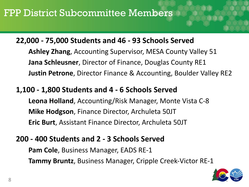#### **22,000 - 75,000 Students and 46 - 93 Schools Served**

**Ashley Zhang**, Accounting Supervisor, MESA County Valley 51 **Jana Schleusner**, Director of Finance, Douglas County RE1 **Justin Petrone**, Director Finance & Accounting, Boulder Valley RE2

#### **1,100 - 1,800 Students and 4 - 6 Schools Served**

**Leona Holland**, Accounting/Risk Manager, Monte Vista C-8 **Mike Hodgson**, Finance Director, Archuleta 50JT **Eric Burt**, Assistant Finance Director, Archuleta 50JT

#### **200 - 400 Students and 2 - 3 Schools Served**

**Pam Cole**, Business Manager, EADS RE-1 **Tammy Bruntz**, Business Manager, Cripple Creek-Victor RE-1

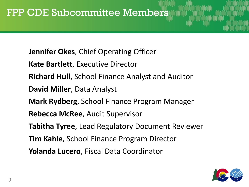**Jennifer Okes**, Chief Operating Officer

**Kate Bartlett**, Executive Director

**Richard Hull**, School Finance Analyst and Auditor

**David Miller**, Data Analyst

**Mark Rydberg**, School Finance Program Manager

**Rebecca McRee**, Audit Supervisor

**Tabitha Tyree**, Lead Regulatory Document Reviewer

**Tim Kahle**, School Finance Program Director

**Yolanda Lucero**, Fiscal Data Coordinator

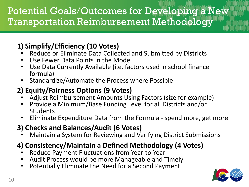## Potential Goals/Outcomes for Developing a New Transportation Reimbursement Methodology

### **1) Simplify/Efficiency (10 Votes)**

- Reduce or Eliminate Data Collected and Submitted by Districts
- Use Fewer Data Points in the Model
- Use Data Currently Available (i.e. factors used in school finance formula)
- Standardize/Automate the Process where Possible

### **2) Equity/Fairness Options (9 Votes)**

- Adjust Reimbursement Amounts Using Factors (size for example)
- Provide a Minimum/Base Funding Level for all Districts and/or Students
- Eliminate Expenditure Data from the Formula spend more, get more

### **3) Checks and Balances/Audit (6 Votes)**

• Maintain a System for Reviewing and Verifying District Submissions

### **4) Consistency/Maintain a Defined Methodology (4 Votes)**

- Reduce Payment Fluctuations from Year-to-Year
- Audit Process would be more Manageable and Timely
- Potentially Eliminate the Need for a Second Payment

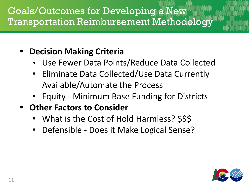## Goals/Outcomes for Developing a New Transportation Reimbursement Methodology

### **• Decision Making Criteria**

- Use Fewer Data Points/Reduce Data Collected
- Eliminate Data Collected/Use Data Currently Available/Automate the Process
- Equity Minimum Base Funding for Districts
- **• Other Factors to Consider**
	- What is the Cost of Hold Harmless? \$\$\$
	- Defensible Does it Make Logical Sense?

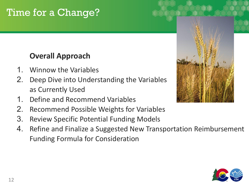## Time for a Change?

### **Overall Approach**

- 1. Winnow the Variables
- 2. Deep Dive into Understanding the Variables as Currently Used
- 1. Define and Recommend Variables
- 2. Recommend Possible Weights for Variables
- 3. Review Specific Potential Funding Models
- 4. Refine and Finalize a Suggested New Transportation Reimbursement Funding Formula for Consideration



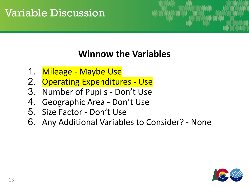## Variable Discussion



### **Winnow the Variables**

- 1. Mileage Maybe Use
- 2. Operating Expenditures Use
- 3. Number of Pupils Don't Use
- 4. Geographic Area Don't Use
- 5. Size Factor Don't Use
- 6. Any Additional Variables to Consider? None

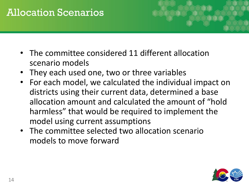## Allocation Scenarios



- The committee considered 11 different allocation scenario models
- They each used one, two or three variables
- For each model, we calculated the individual impact on districts using their current data, determined a base allocation amount and calculated the amount of "hold harmless" that would be required to implement the model using current assumptions
- The committee selected two allocation scenario models to move forward

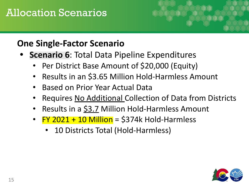## Allocation Scenarios

### **One Single-Factor Scenario**

- **• Scenario 6**: Total Data Pipeline Expenditures
	- Per District Base Amount of \$20,000 (Equity)
	- Results in an \$3.65 Million Hold-Harmless Amount
	- Based on Prior Year Actual Data
	- Requires No Additional Collection of Data from Districts
	- Results in a \$3.7 Million Hold-Harmless Amount
	- $FY$  2021 + 10 Million = \$374k Hold-Harmless
		- 10 Districts Total (Hold-Harmless)

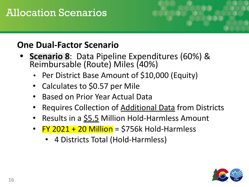## Allocation Scenarios

### **One Dual-Factor Scenario**

- **• Scenario 8**: Data Pipeline Expenditures (60%) & Reimbursable (Route) Miles (40%)
	- Per District Base Amount of \$10,000 (Equity)
	- Calculates to \$0.57 per Mile
	- Based on Prior Year Actual Data
	- Requires Collection of Additional Data from Districts
	- Results in a  $$5.5$  Million Hold-Harmless Amount
	- $FY$  2021 + 20 Million = \$756k Hold-Harmless
		- 4 Districts Total (Hold-Harmless)

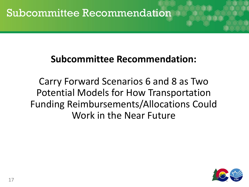## **Subcommittee Recommendation:**

Carry Forward Scenarios 6 and 8 as Two Potential Models for How Transportation Funding Reimbursements/Allocations Could Work in the Near Future

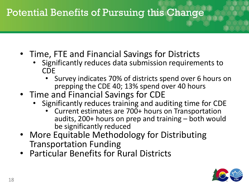## Potential Benefits of Pursuing this Change

- Time, FTE and Financial Savings for Districts
	- Significantly reduces data submission requirements to CDE
		- Survey indicates 70% of districts spend over 6 hours on prepping the CDE 40; 13% spend over 40 hours
- Time and Financial Savings for CDE
	- Significantly reduces training and auditing time for CDE
		- Current estimates are 700+ hours on Transportation audits, 200+ hours on prep and training – both would be significantly reduced
- More Equitable Methodology for Distributing Transportation Funding
- Particular Benefits for Rural Districts

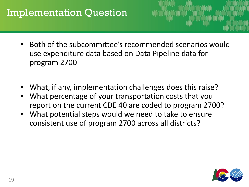## Implementation Question

- Both of the subcommittee's recommended scenarios would use expenditure data based on Data Pipeline data for program 2700
- What, if any, implementation challenges does this raise?
- What percentage of your transportation costs that you report on the current CDE 40 are coded to program 2700?
- What potential steps would we need to take to ensure consistent use of program 2700 across all districts?

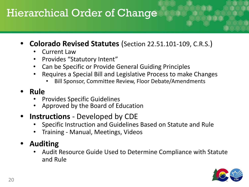## Hierarchical Order of Change

- **• Colorado Revised Statutes** (Section 22.51.101-109, C.R.S.)
	- Current Law
	- Provides "Statutory Intent"
	- Can be Specific or Provide General Guiding Principles
	- Requires a Special Bill and Legislative Process to make Changes
		- Bill Sponsor, Committee Review, Floor Debate/Amendments

#### **• Rule**

- Provides Specific Guidelines
- Approved by the Board of Education
- **• Instructions** Developed by CDE
	- Specific Instruction and Guidelines Based on Statute and Rule
	- Training Manual, Meetings, Videos
- **• Auditing**
	- Audit Resource Guide Used to Determine Compliance with Statute and Rule

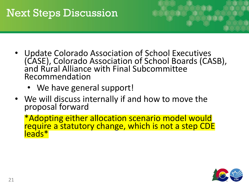## Next Steps Discussion

- Update Colorado Association of School Executives (CASE), Colorado Association of School Boards (CASB), and Rural Alliance with Final Subcommittee Recommendation
	- We have general support!
- We will discuss internally if and how to move the proposal forward

\*Adopting either allocation scenario model would require a statutory change, which is not a step CDE leads\*